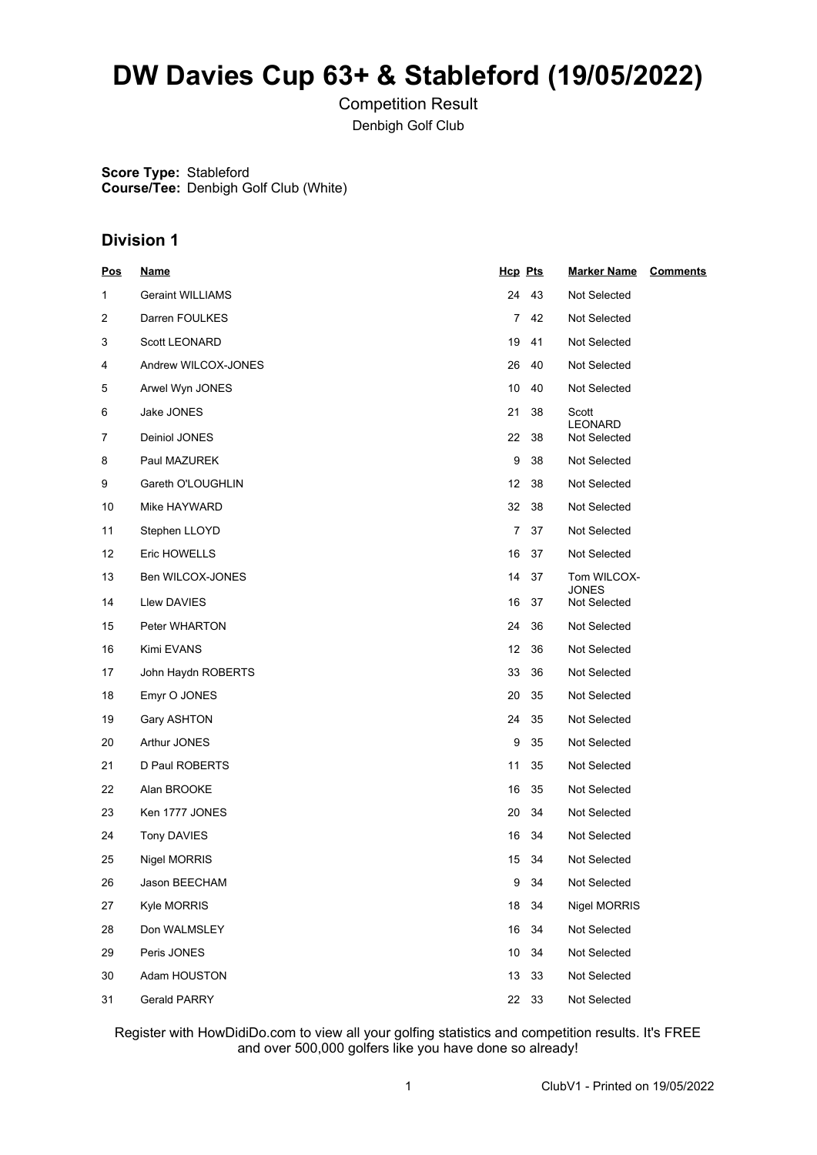# **DW Davies Cup 63+ & Stableford (19/05/2022)**

Competition Result Denbigh Golf Club

**Score Type:** Stableford **Course/Tee:** Denbigh Golf Club (White)

## **Division 1**

| <u>Pos</u> | <u>Name</u>             | Hcp Pts |       | <b>Marker Name</b>           | <b>Comments</b> |
|------------|-------------------------|---------|-------|------------------------------|-----------------|
| 1          | <b>Geraint WILLIAMS</b> | 24      | 43    | Not Selected                 |                 |
| 2          | Darren FOULKES          | 7       | 42    | Not Selected                 |                 |
| 3          | Scott LEONARD           | 19      | 41    | Not Selected                 |                 |
| 4          | Andrew WILCOX-JONES     | 26      | 40    | Not Selected                 |                 |
| 5          | Arwel Wyn JONES         | 10      | 40    | Not Selected                 |                 |
| 6          | Jake JONES              | 21      | 38    | Scott                        |                 |
| 7          | Deiniol JONES           | 22      | -38   | LEONARD<br>Not Selected      |                 |
| 8          | Paul MAZUREK            | 9       | 38    | <b>Not Selected</b>          |                 |
| 9          | Gareth O'LOUGHLIN       | 12      | 38    | Not Selected                 |                 |
| 10         | Mike HAYWARD            | 32      | 38    | Not Selected                 |                 |
| 11         | Stephen LLOYD           | 7       | 37    | Not Selected                 |                 |
| 12         | Eric HOWELLS            | 16      | -37   | Not Selected                 |                 |
| 13         | Ben WILCOX-JONES        | 14      | 37    | Tom WILCOX-                  |                 |
| 14         | Llew DAVIES             | 16      | 37    | <b>JONES</b><br>Not Selected |                 |
| 15         | Peter WHARTON           | 24      | 36    | <b>Not Selected</b>          |                 |
| 16         | Kimi EVANS              | 12      | 36    | <b>Not Selected</b>          |                 |
| 17         | John Haydn ROBERTS      | 33      | 36    | Not Selected                 |                 |
| 18         | Emyr O JONES            | 20      | 35    | Not Selected                 |                 |
| 19         | Gary ASHTON             | 24      | 35    | Not Selected                 |                 |
| 20         | Arthur JONES            | 9       | 35    | Not Selected                 |                 |
| 21         | D Paul ROBERTS          | 11      | 35    | Not Selected                 |                 |
| 22         | Alan BROOKE             | 16      | 35    | Not Selected                 |                 |
| 23         | Ken 1777 JONES          | 20      | 34    | Not Selected                 |                 |
| 24         | <b>Tony DAVIES</b>      | 16      | 34    | Not Selected                 |                 |
| 25         | Nigel MORRIS            | 15      | 34    | <b>Not Selected</b>          |                 |
| 26         | Jason BEECHAM           | 9       | 34    | Not Selected                 |                 |
| 27         | Kyle MORRIS             | 18      | 34    | Nigel MORRIS                 |                 |
| 28         | Don WALMSLEY            | 16      | 34    | Not Selected                 |                 |
| 29         | Peris JONES             | 10      | 34    | Not Selected                 |                 |
| 30         | Adam HOUSTON            | 13      | 33    | Not Selected                 |                 |
| 31         | <b>Gerald PARRY</b>     |         | 22 33 | Not Selected                 |                 |

Register with HowDidiDo.com to view all your golfing statistics and competition results. It's FREE and over 500,000 golfers like you have done so already!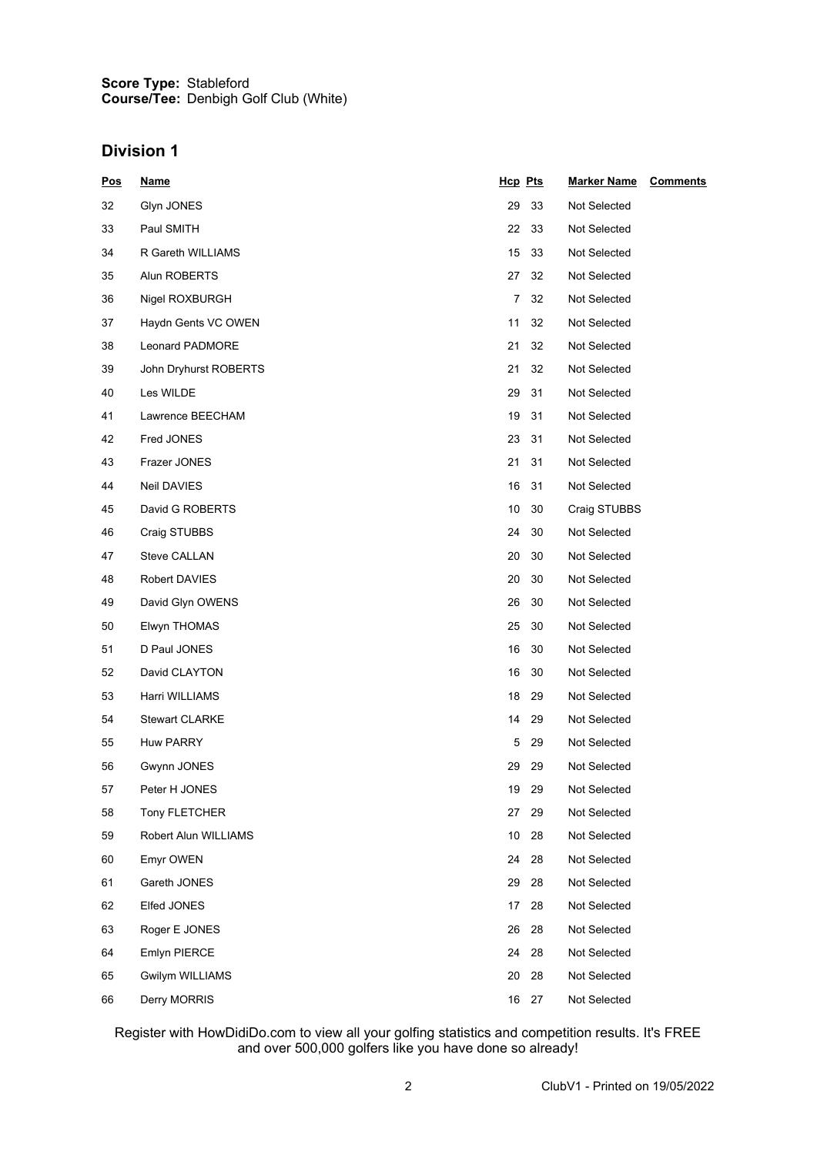#### **Score Type: Course/Tee:** Stableford Denbigh Golf Club (White)

## **Division 1**

| <u>Pos</u> | <u>Name</u>           | Hcp Pts  | <b>Marker Name</b><br><b>Comments</b> |
|------------|-----------------------|----------|---------------------------------------|
| 32         | Glyn JONES            | 29<br>33 | Not Selected                          |
| 33         | Paul SMITH            | 22<br>33 | Not Selected                          |
| 34         | R Gareth WILLIAMS     | 15<br>33 | Not Selected                          |
| 35         | Alun ROBERTS          | 27<br>32 | Not Selected                          |
| 36         | Nigel ROXBURGH        | 7<br>32  | Not Selected                          |
| 37         | Haydn Gents VC OWEN   | 11<br>32 | Not Selected                          |
| 38         | Leonard PADMORE       | 21<br>32 | Not Selected                          |
| 39         | John Dryhurst ROBERTS | 21<br>32 | Not Selected                          |
| 40         | Les WILDE             | 29<br>31 | Not Selected                          |
| 41         | Lawrence BEECHAM      | 19<br>31 | Not Selected                          |
| 42         | Fred JONES            | 23<br>31 | Not Selected                          |
| 43         | Frazer JONES          | 21<br>31 | Not Selected                          |
| 44         | Neil DAVIES           | 16<br>31 | Not Selected                          |
| 45         | David G ROBERTS       | 10<br>30 | Craig STUBBS                          |
| 46         | Craig STUBBS          | 24<br>30 | Not Selected                          |
| 47         | <b>Steve CALLAN</b>   | 20<br>30 | Not Selected                          |
| 48         | Robert DAVIES         | 20<br>30 | Not Selected                          |
| 49         | David Glyn OWENS      | 26<br>30 | Not Selected                          |
| 50         | Elwyn THOMAS          | 25<br>30 | Not Selected                          |
| 51         | D Paul JONES          | 16<br>30 | Not Selected                          |
| 52         | David CLAYTON         | 16<br>30 | Not Selected                          |
| 53         | Harri WILLIAMS        | 18<br>29 | Not Selected                          |
| 54         | <b>Stewart CLARKE</b> | 14<br>29 | Not Selected                          |
| 55         | Huw PARRY             | 5<br>29  | Not Selected                          |
| 56         | Gwynn JONES           | 29<br>29 | Not Selected                          |
| 57         | Peter H JONES         | 19<br>29 | Not Selected                          |
| 58         | Tony FLETCHER         | 29<br>27 | Not Selected                          |
| 59         | Robert Alun WILLIAMS  | 10<br>28 | Not Selected                          |
| 60         | Emyr OWEN             | 28<br>24 | Not Selected                          |
| 61         | Gareth JONES          | 28<br>29 | Not Selected                          |
| 62         | Elfed JONES           | 17<br>28 | Not Selected                          |
| 63         | Roger E JONES         | 26<br>28 | Not Selected                          |
| 64         | <b>Emlyn PIERCE</b>   | 24<br>28 | Not Selected                          |
| 65         | Gwilym WILLIAMS       | 20<br>28 | Not Selected                          |
| 66         | Derry MORRIS          | 16 27    | Not Selected                          |

Register with HowDidiDo.com to view all your golfing statistics and competition results. It's FREE and over 500,000 golfers like you have done so already!